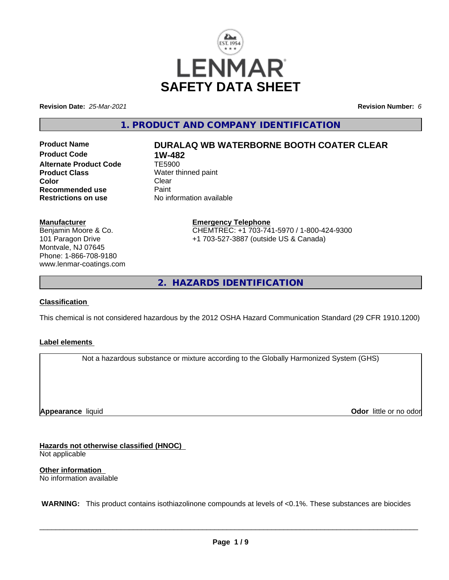

**Revision Date:** *25-Mar-2021* **Revision Number:** *6*

**1. PRODUCT AND COMPANY IDENTIFICATION**

**Product Code 1W-482**<br>Alternate Product Code 1E5900 **Alternate Product Code Product Class** Water thinned paint<br> **Color** Clear **Color** Clear Clear **Recommended use Faint Paint Paint Restrictions on use Fig. 2016** 

# **Product Name DURALAQ WB WATERBORNE BOOTH COATER CLEAR**

**No information available** 

### **Manufacturer**

Benjamin Moore & Co. 101 Paragon Drive Montvale, NJ 07645 Phone: 1-866-708-9180 www.lenmar-coatings.com

### **Emergency Telephone** CHEMTREC: +1 703-741-5970 / 1-800-424-9300 +1 703-527-3887 (outside US & Canada)

**2. HAZARDS IDENTIFICATION**

### **Classification**

This chemical is not considered hazardous by the 2012 OSHA Hazard Communication Standard (29 CFR 1910.1200)

### **Label elements**

Not a hazardous substance or mixture according to the Globally Harmonized System (GHS)

**Appearance** liquid

**Odor** little or no odor

**Hazards not otherwise classified (HNOC)** Not applicable

**Other information** No information available

 **WARNING:** This product contains isothiazolinone compounds at levels of <0.1%. These substances are biocides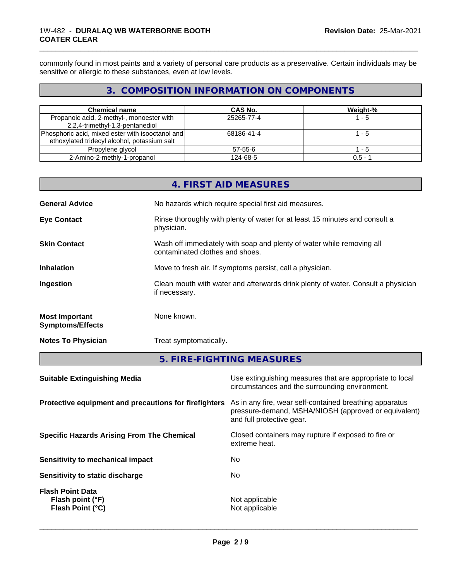### 1W-482 - **DURALAQ WB WATERBORNE BOOTH COATER CLEAR**

commonly found in most paints and a variety of personal care products as a preservative. Certain individuals may be sensitive or allergic to these substances, even at low levels.

\_\_\_\_\_\_\_\_\_\_\_\_\_\_\_\_\_\_\_\_\_\_\_\_\_\_\_\_\_\_\_\_\_\_\_\_\_\_\_\_\_\_\_\_\_\_\_\_\_\_\_\_\_\_\_\_\_\_\_\_\_\_\_\_\_\_\_\_\_\_\_\_\_\_\_\_\_\_\_\_\_\_\_\_\_\_\_\_\_\_\_\_\_

# **3. COMPOSITION INFORMATION ON COMPONENTS**

| <b>Chemical name</b>                                                                               | CAS No.    | Weight-%  |
|----------------------------------------------------------------------------------------------------|------------|-----------|
| Propanoic acid, 2-methyl-, monoester with<br>2,2,4-trimethyl-1,3-pentanediol                       | 25265-77-4 | ' - 5     |
| [Phosphoric acid, mixed ester with isooctanol and]<br>ethoxylated tridecyl alcohol, potassium salt | 68186-41-4 | $-5$      |
| Propylene glycol                                                                                   | 57-55-6    | - 5       |
| 2-Amino-2-methly-1-propanol                                                                        | 124-68-5   | $0.5 - 1$ |

| <b>General Advice</b><br>No hazards which require special first aid measures.                                                   |
|---------------------------------------------------------------------------------------------------------------------------------|
|                                                                                                                                 |
| Rinse thoroughly with plenty of water for at least 15 minutes and consult a<br><b>Eye Contact</b><br>physician.                 |
| Wash off immediately with soap and plenty of water while removing all<br><b>Skin Contact</b><br>contaminated clothes and shoes. |
| <b>Inhalation</b><br>Move to fresh air. If symptoms persist, call a physician.                                                  |
| Clean mouth with water and afterwards drink plenty of water. Consult a physician<br>Ingestion<br>if necessary.                  |
| None known.<br><b>Most Important</b><br><b>Symptoms/Effects</b>                                                                 |
| Treat symptomatically.<br><b>Notes To Physician</b>                                                                             |
| 5. FIRE-FIGHTING MEASURES                                                                                                       |

| As in any fire, wear self-contained breathing apparatus<br>pressure-demand, MSHA/NIOSH (approved or equivalent)<br>and full protective gear.<br>Closed containers may rupture if exposed to fire or<br>extreme heat.<br>No.<br>No<br>Not applicable<br>Flash point (°F)<br>Flash Point (°C)<br>Not applicable | <b>Suitable Extinguishing Media</b>                   | Use extinguishing measures that are appropriate to local<br>circumstances and the surrounding environment. |
|---------------------------------------------------------------------------------------------------------------------------------------------------------------------------------------------------------------------------------------------------------------------------------------------------------------|-------------------------------------------------------|------------------------------------------------------------------------------------------------------------|
|                                                                                                                                                                                                                                                                                                               | Protective equipment and precautions for firefighters |                                                                                                            |
|                                                                                                                                                                                                                                                                                                               | <b>Specific Hazards Arising From The Chemical</b>     |                                                                                                            |
|                                                                                                                                                                                                                                                                                                               | Sensitivity to mechanical impact                      |                                                                                                            |
|                                                                                                                                                                                                                                                                                                               | Sensitivity to static discharge                       |                                                                                                            |
|                                                                                                                                                                                                                                                                                                               | <b>Flash Point Data</b>                               |                                                                                                            |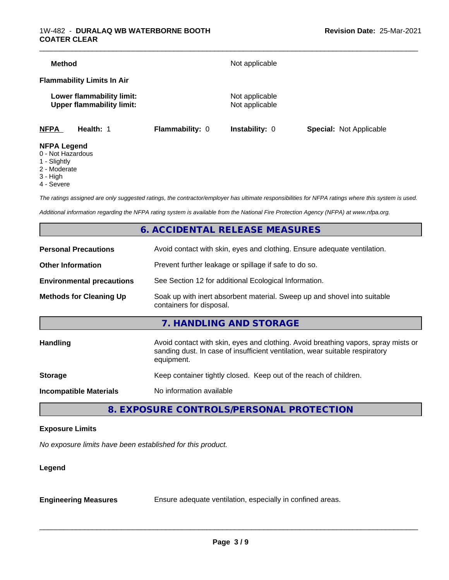| <b>Method</b>                           |                                                               |                 | Not applicable                   |                                |
|-----------------------------------------|---------------------------------------------------------------|-----------------|----------------------------------|--------------------------------|
|                                         | <b>Flammability Limits In Air</b>                             |                 |                                  |                                |
|                                         | Lower flammability limit:<br><b>Upper flammability limit:</b> |                 | Not applicable<br>Not applicable |                                |
| <b>NFPA</b>                             | Health: 1                                                     | Flammability: 0 | <b>Instability: 0</b>            | <b>Special: Not Applicable</b> |
| <b>NFPA Legend</b><br>0 - Not Hazardous |                                                               |                 |                                  |                                |

- 1 Slightly
- 
- 2 Moderate
- 3 High
- 4 Severe

*The ratings assigned are only suggested ratings, the contractor/employer has ultimate responsibilities for NFPA ratings where this system is used.*

*Additional information regarding the NFPA rating system is available from the National Fire Protection Agency (NFPA) at www.nfpa.org.*

# **6. ACCIDENTAL RELEASE MEASURES**

| <b>Personal Precautions</b>      | Avoid contact with skin, eyes and clothing. Ensure adequate ventilation.                                                                                                         |  |
|----------------------------------|----------------------------------------------------------------------------------------------------------------------------------------------------------------------------------|--|
| <b>Other Information</b>         | Prevent further leakage or spillage if safe to do so.                                                                                                                            |  |
| <b>Environmental precautions</b> | See Section 12 for additional Ecological Information.                                                                                                                            |  |
| <b>Methods for Cleaning Up</b>   | Soak up with inert absorbent material. Sweep up and shovel into suitable<br>containers for disposal.                                                                             |  |
|                                  | 7. HANDLING AND STORAGE                                                                                                                                                          |  |
| <b>Handling</b>                  | Avoid contact with skin, eyes and clothing. Avoid breathing vapors, spray mists or<br>sanding dust. In case of insufficient ventilation, wear suitable respiratory<br>equipment. |  |
| <b>Storage</b>                   | Keep container tightly closed. Keep out of the reach of children.                                                                                                                |  |
| <b>Incompatible Materials</b>    | No information available                                                                                                                                                         |  |
|                                  |                                                                                                                                                                                  |  |

**8. EXPOSURE CONTROLS/PERSONAL PROTECTION**

### **Exposure Limits**

*No exposure limits have been established for this product.*

### **Legend**

**Engineering Measures** Ensure adequate ventilation, especially in confined areas.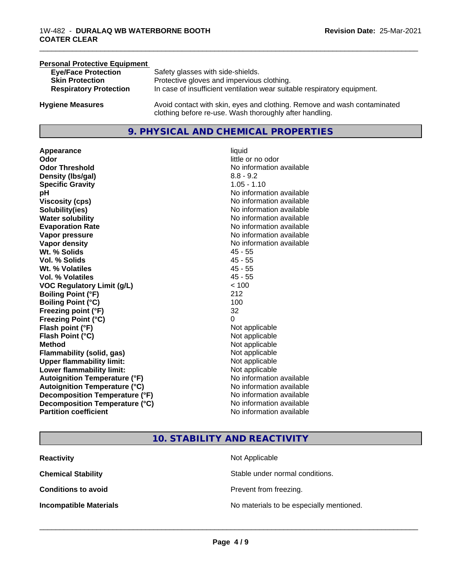# **Personal Protective Equipment Eye/Face Protection** Safety glasses with side-shields.<br> **Skin Protection** Protective gloves and impervious Protective gloves and impervious clothing. **Respiratory Protection** In case of insufficient ventilation wear suitable respiratory equipment. **Hygiene Measures** Avoid contact with skin, eyes and clothing. Remove and wash contaminated

# **9. PHYSICAL AND CHEMICAL PROPERTIES**

clothing before re-use. Wash thoroughly after handling.

**Appearance** liquid **Odor**<br> **Odor Threshold**<br> **Odor Threshold**<br> **CODOR**<br> **CODOR**<br> **CODOR**<br> **CODOR**<br> **CODOR**<br> **CODOR**<br> **CODOR**<br> **CODOR**<br> **CODOR**<br> **CODOR Density (Ibs/gal)** 8.8 - 9.2 **Specific Gravity** 1.05 - 1.10 **pH pH**  $\blacksquare$ **Viscosity (cps)** No information available **Solubility(ies)** No information available **Water solubility** No information available **Evaporation Rate No information available No information available Vapor pressure** No information available **Vapor density No information available No information available Wt. % Solids** 45 - 55 **Vol. % Solids** 45 - 55 **Wt. % Volatiles** 45 - 55 **Vol. % Volatiles** 45 - 55 **VOC Regulatory Limit (g/L)** < 100 **Boiling Point (°F)** 212 **Boiling Point**  $(°C)$  100 **Freezing point (°F)** 32 **Freezing Point (°C)** 0 **Flash point (°F)**<br> **Flash Point (°C)**<br> **Flash Point (°C)**<br> **Not** applicable **Flash Point (°C) Method** Not applicable Not applicable **Flammability (solid, gas)** Not applicable **Upper flammability limit:** Not applicable **Lower flammability limit:** Not applicable **Autoignition Temperature (°F)** No information available **Autoignition Temperature (°C)** No information available **Decomposition Temperature (°F)**<br> **Decomposition Temperature (°C)** No information available **Decomposition Temperature (°C) Partition coefficient Contract Community No information available** 

# **No information available**

\_\_\_\_\_\_\_\_\_\_\_\_\_\_\_\_\_\_\_\_\_\_\_\_\_\_\_\_\_\_\_\_\_\_\_\_\_\_\_\_\_\_\_\_\_\_\_\_\_\_\_\_\_\_\_\_\_\_\_\_\_\_\_\_\_\_\_\_\_\_\_\_\_\_\_\_\_\_\_\_\_\_\_\_\_\_\_\_\_\_\_\_\_

### **10. STABILITY AND REACTIVITY**

| <b>Reactivity</b>             | Not Applicable                           |
|-------------------------------|------------------------------------------|
| <b>Chemical Stability</b>     | Stable under normal conditions.          |
| <b>Conditions to avoid</b>    | Prevent from freezing.                   |
| <b>Incompatible Materials</b> | No materials to be especially mentioned. |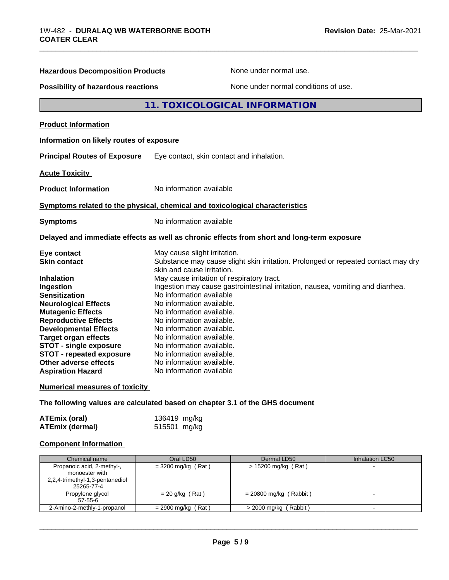| <b>Hazardous Decomposition Products</b>                                                                                                                                                                                                                                                                                                                                                                                                                                                                                                                                                                                                                                                                                                                                   | None under normal use.                                                                                                                          |
|---------------------------------------------------------------------------------------------------------------------------------------------------------------------------------------------------------------------------------------------------------------------------------------------------------------------------------------------------------------------------------------------------------------------------------------------------------------------------------------------------------------------------------------------------------------------------------------------------------------------------------------------------------------------------------------------------------------------------------------------------------------------------|-------------------------------------------------------------------------------------------------------------------------------------------------|
| <b>Possibility of hazardous reactions</b>                                                                                                                                                                                                                                                                                                                                                                                                                                                                                                                                                                                                                                                                                                                                 | None under normal conditions of use.                                                                                                            |
|                                                                                                                                                                                                                                                                                                                                                                                                                                                                                                                                                                                                                                                                                                                                                                           | 11. TOXICOLOGICAL INFORMATION                                                                                                                   |
| <b>Product Information</b>                                                                                                                                                                                                                                                                                                                                                                                                                                                                                                                                                                                                                                                                                                                                                |                                                                                                                                                 |
| Information on likely routes of exposure                                                                                                                                                                                                                                                                                                                                                                                                                                                                                                                                                                                                                                                                                                                                  |                                                                                                                                                 |
| <b>Principal Routes of Exposure</b>                                                                                                                                                                                                                                                                                                                                                                                                                                                                                                                                                                                                                                                                                                                                       | Eye contact, skin contact and inhalation.                                                                                                       |
| <b>Acute Toxicity</b>                                                                                                                                                                                                                                                                                                                                                                                                                                                                                                                                                                                                                                                                                                                                                     |                                                                                                                                                 |
| <b>Product Information</b>                                                                                                                                                                                                                                                                                                                                                                                                                                                                                                                                                                                                                                                                                                                                                | No information available                                                                                                                        |
|                                                                                                                                                                                                                                                                                                                                                                                                                                                                                                                                                                                                                                                                                                                                                                           | Symptoms related to the physical, chemical and toxicological characteristics                                                                    |
| <b>Symptoms</b>                                                                                                                                                                                                                                                                                                                                                                                                                                                                                                                                                                                                                                                                                                                                                           | No information available                                                                                                                        |
|                                                                                                                                                                                                                                                                                                                                                                                                                                                                                                                                                                                                                                                                                                                                                                           | Delayed and immediate effects as well as chronic effects from short and long-term exposure                                                      |
| Eye contact<br><b>Skin contact</b>                                                                                                                                                                                                                                                                                                                                                                                                                                                                                                                                                                                                                                                                                                                                        | May cause slight irritation.<br>Substance may cause slight skin irritation. Prolonged or repeated contact may dry<br>skin and cause irritation. |
| May cause irritation of respiratory tract.<br><b>Inhalation</b><br>Ingestion may cause gastrointestinal irritation, nausea, vomiting and diarrhea.<br>Ingestion<br>No information available<br><b>Sensitization</b><br>No information available.<br><b>Neurological Effects</b><br><b>Mutagenic Effects</b><br>No information available.<br><b>Reproductive Effects</b><br>No information available.<br><b>Developmental Effects</b><br>No information available.<br><b>Target organ effects</b><br>No information available.<br><b>STOT - single exposure</b><br>No information available.<br><b>STOT - repeated exposure</b><br>No information available.<br>Other adverse effects<br>No information available.<br>No information available<br><b>Aspiration Hazard</b> |                                                                                                                                                 |
| <b>Numerical measures of toxicity</b>                                                                                                                                                                                                                                                                                                                                                                                                                                                                                                                                                                                                                                                                                                                                     |                                                                                                                                                 |
|                                                                                                                                                                                                                                                                                                                                                                                                                                                                                                                                                                                                                                                                                                                                                                           | The following values are calculated based on chapter 3.1 of the GHS document                                                                    |

| <b>ATEmix (oral)</b>   | 136419 mg/kg |
|------------------------|--------------|
| <b>ATEmix (dermal)</b> | 515501 mg/kg |

# **Component Information**

| Chemical name                                                                                 | Oral LD50            | Dermal LD50              | Inhalation LC50 |
|-----------------------------------------------------------------------------------------------|----------------------|--------------------------|-----------------|
| Propanoic acid, 2-methyl-,<br>monoester with<br>2,2,4-trimethyl-1,3-pentanediol<br>25265-77-4 | $=$ 3200 mg/kg (Rat) | $> 15200$ mg/kg (Rat)    |                 |
| Propylene glycol<br>$57 - 55 - 6$                                                             | $= 20$ g/kg (Rat)    | $= 20800$ mg/kg (Rabbit) |                 |
| 2-Amino-2-methly-1-propanol                                                                   | $= 2900$ mg/kg (Rat) | $>$ 2000 mg/kg (Rabbit)  |                 |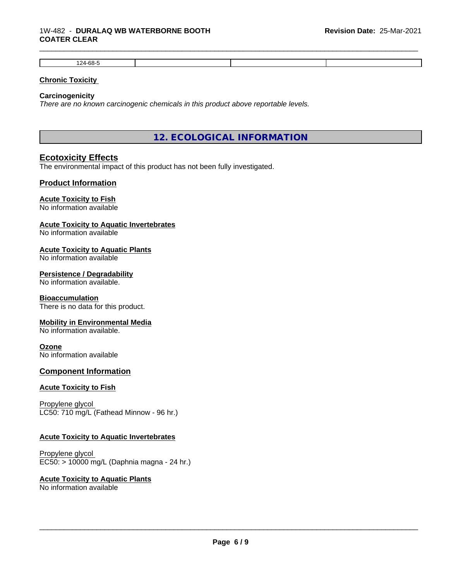| $124-68-r$<br>°uu |  |  |
|-------------------|--|--|

\_\_\_\_\_\_\_\_\_\_\_\_\_\_\_\_\_\_\_\_\_\_\_\_\_\_\_\_\_\_\_\_\_\_\_\_\_\_\_\_\_\_\_\_\_\_\_\_\_\_\_\_\_\_\_\_\_\_\_\_\_\_\_\_\_\_\_\_\_\_\_\_\_\_\_\_\_\_\_\_\_\_\_\_\_\_\_\_\_\_\_\_\_

### **Chronic Toxicity**

### **Carcinogenicity**

*There are no known carcinogenic chemicals in this product above reportable levels.*

**12. ECOLOGICAL INFORMATION**

### **Ecotoxicity Effects**

The environmental impact of this product has not been fully investigated.

### **Product Information**

### **Acute Toxicity to Fish**

No information available

### **Acute Toxicity to Aquatic Invertebrates**

No information available

### **Acute Toxicity to Aquatic Plants**

No information available

### **Persistence / Degradability**

No information available.

### **Bioaccumulation**

There is no data for this product.

### **Mobility in Environmental Media**

No information available.

### **Ozone**

No information available

### **Component Information**

### **Acute Toxicity to Fish**

Propylene glycol LC50: 710 mg/L (Fathead Minnow - 96 hr.)

### **Acute Toxicity to Aquatic Invertebrates**

Propylene glycol EC50: > 10000 mg/L (Daphnia magna - 24 hr.)

### **Acute Toxicity to Aquatic Plants**

No information available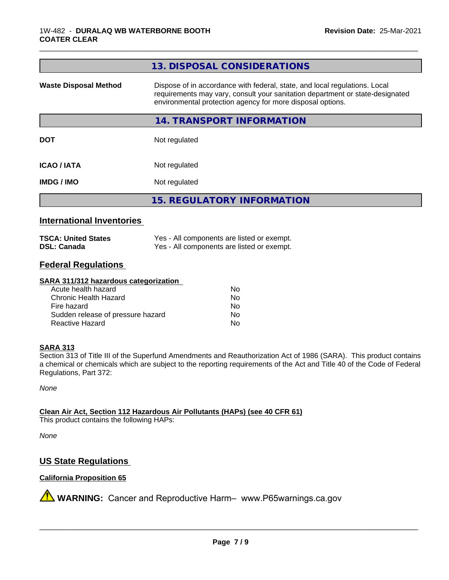|                              | 13. DISPOSAL CONSIDERATIONS                                                                                                                                                                                               |
|------------------------------|---------------------------------------------------------------------------------------------------------------------------------------------------------------------------------------------------------------------------|
| <b>Waste Disposal Method</b> | Dispose of in accordance with federal, state, and local regulations. Local<br>requirements may vary, consult your sanitation department or state-designated<br>environmental protection agency for more disposal options. |
|                              | 14. TRANSPORT INFORMATION                                                                                                                                                                                                 |
| <b>DOT</b>                   | Not regulated                                                                                                                                                                                                             |
| <b>ICAO/IATA</b>             | Not regulated                                                                                                                                                                                                             |
| <b>IMDG/IMO</b>              | Not regulated                                                                                                                                                                                                             |
|                              | <b>15. REGULATORY INFORMATION</b>                                                                                                                                                                                         |
|                              |                                                                                                                                                                                                                           |

\_\_\_\_\_\_\_\_\_\_\_\_\_\_\_\_\_\_\_\_\_\_\_\_\_\_\_\_\_\_\_\_\_\_\_\_\_\_\_\_\_\_\_\_\_\_\_\_\_\_\_\_\_\_\_\_\_\_\_\_\_\_\_\_\_\_\_\_\_\_\_\_\_\_\_\_\_\_\_\_\_\_\_\_\_\_\_\_\_\_\_\_\_

### **International Inventories**

| <b>TSCA: United States</b> | Yes - All components are listed or exempt. |
|----------------------------|--------------------------------------------|
| <b>DSL: Canada</b>         | Yes - All components are listed or exempt. |

# **Federal Regulations**

### **SARA 311/312 hazardous categorization**

| Acute health hazard               | Nο |
|-----------------------------------|----|
| Chronic Health Hazard             | N٥ |
| Fire hazard                       | N٥ |
| Sudden release of pressure hazard | N٥ |
| Reactive Hazard                   | N٥ |

### **SARA 313**

Section 313 of Title III of the Superfund Amendments and Reauthorization Act of 1986 (SARA). This product contains a chemical or chemicals which are subject to the reporting requirements of the Act and Title 40 of the Code of Federal Regulations, Part 372:

*None*

**Clean Air Act,Section 112 Hazardous Air Pollutants (HAPs) (see 40 CFR 61)**

This product contains the following HAPs:

*None*

# **US State Regulations**

### **California Proposition 65**

**A** WARNING: Cancer and Reproductive Harm– www.P65warnings.ca.gov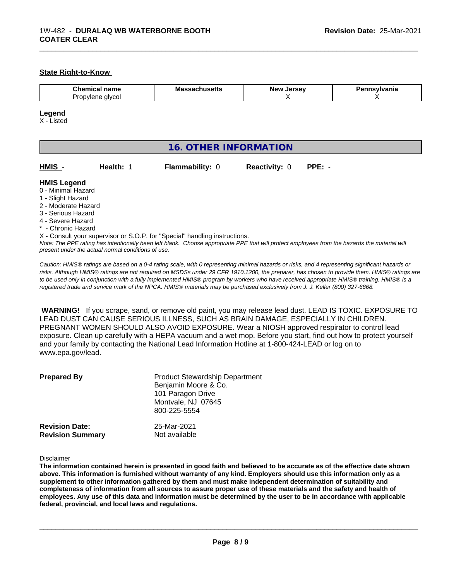### **State Right-to-Know**

| Chemir<br>name<br>$\sim$ $\sim$ $\sim$ $\sim$ $\sim$ $\sim$ | IVI a<br>. | Ne\<br>$\cdot$<br>$\sim$ |  |
|-------------------------------------------------------------|------------|--------------------------|--|
| Dη<br>alvcol<br>opvlene                                     |            |                          |  |

\_\_\_\_\_\_\_\_\_\_\_\_\_\_\_\_\_\_\_\_\_\_\_\_\_\_\_\_\_\_\_\_\_\_\_\_\_\_\_\_\_\_\_\_\_\_\_\_\_\_\_\_\_\_\_\_\_\_\_\_\_\_\_\_\_\_\_\_\_\_\_\_\_\_\_\_\_\_\_\_\_\_\_\_\_\_\_\_\_\_\_\_\_

### **Legend**

X - Listed

| HMIS -<br>Health: 1<br>Flammability: 0<br>$PPE: -$<br><b>Reactivity: 0</b><br><b>HMIS Legend</b><br>0 - Minimal Hazard<br>1 - Slight Hazard                                                                                 |                       |  |  |  |  |  |
|-----------------------------------------------------------------------------------------------------------------------------------------------------------------------------------------------------------------------------|-----------------------|--|--|--|--|--|
|                                                                                                                                                                                                                             | 16. OTHER INFORMATION |  |  |  |  |  |
|                                                                                                                                                                                                                             |                       |  |  |  |  |  |
| 2 - Moderate Hazard<br>3 - Serious Hazard                                                                                                                                                                                   |                       |  |  |  |  |  |
| 4 - Severe Hazard                                                                                                                                                                                                           |                       |  |  |  |  |  |
| * - Chronic Hazard                                                                                                                                                                                                          |                       |  |  |  |  |  |
| X - Consult your supervisor or S.O.P. for "Special" handling instructions.<br>Note: The PPE rating has intentionally been left blank. Choose appropriate PPE that will protect employees from the hazards the material will |                       |  |  |  |  |  |

*Note: The PPE rating has intentionally been left blank. Choose appropriate PPE that will protect employees from the hazards the material will present under the actual normal conditions of use.*

*Caution: HMISÒ ratings are based on a 0-4 rating scale, with 0 representing minimal hazards or risks, and 4 representing significant hazards or risks. Although HMISÒ ratings are not required on MSDSs under 29 CFR 1910.1200, the preparer, has chosen to provide them. HMISÒ ratings are to be used only in conjunction with a fully implemented HMISÒ program by workers who have received appropriate HMISÒ training. HMISÒ is a registered trade and service mark of the NPCA. HMISÒ materials may be purchased exclusively from J. J. Keller (800) 327-6868.*

 **WARNING!** If you scrape, sand, or remove old paint, you may release lead dust. LEAD IS TOXIC. EXPOSURE TO LEAD DUST CAN CAUSE SERIOUS ILLNESS, SUCH AS BRAIN DAMAGE, ESPECIALLY IN CHILDREN. PREGNANT WOMEN SHOULD ALSO AVOID EXPOSURE.Wear a NIOSH approved respirator to control lead exposure. Clean up carefully with a HEPA vacuum and a wet mop. Before you start, find out how to protect yourself and your family by contacting the National Lead Information Hotline at 1-800-424-LEAD or log on to www.epa.gov/lead.

| <b>Prepared By</b>      | <b>Product Stewardship Department</b><br>Benjamin Moore & Co.<br>101 Paragon Drive<br>Montvale, NJ 07645<br>800-225-5554 |
|-------------------------|--------------------------------------------------------------------------------------------------------------------------|
| <b>Revision Date:</b>   | 25-Mar-2021                                                                                                              |
| <b>Revision Summary</b> | Not available                                                                                                            |

Disclaimer

The information contained herein is presented in good faith and believed to be accurate as of the effective date shown above. This information is furnished without warranty of any kind. Emplovers should use this information only as a **supplement to other information gathered by them and must make independent determination of suitability and** completeness of information from all sources to assure proper use of these materials and the safety and health of employees. Any use of this data and information must be determined by the user to be in accordance with applicable **federal, provincial, and local laws and regulations.**